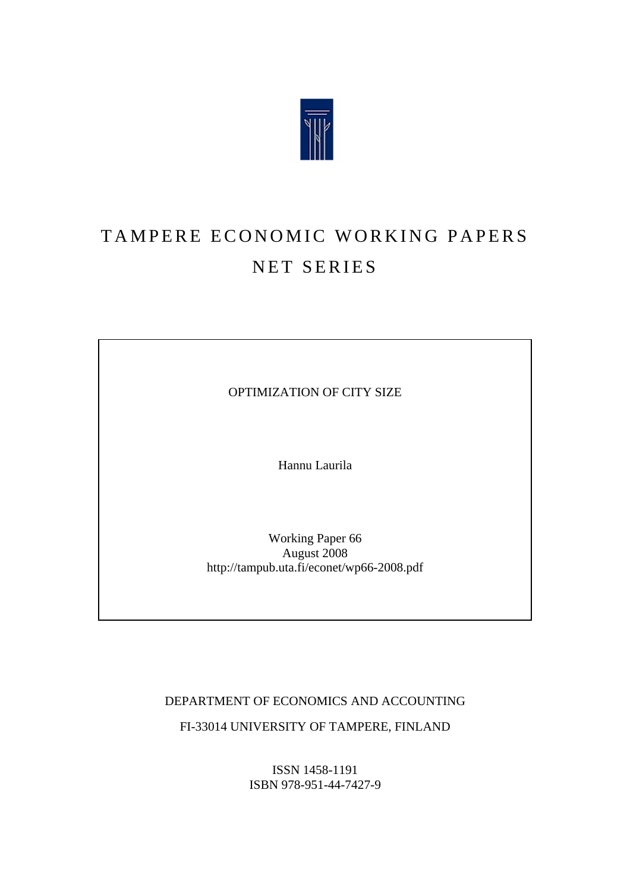

# TAMPERE ECONOMIC WORKING PAPERS NET SERIES

OPTIMIZATION OF CITY SIZE

Hannu Laurila

Working Paper 66 August 2008 http://tampub.uta.fi/econet/wp66-2008.pdf

DEPARTMENT OF ECONOMICS AND ACCOUNTING FI-33014 UNIVERSITY OF TAMPERE, FINLAND

> ISSN 1458-1191 ISBN 978-951-44-7427-9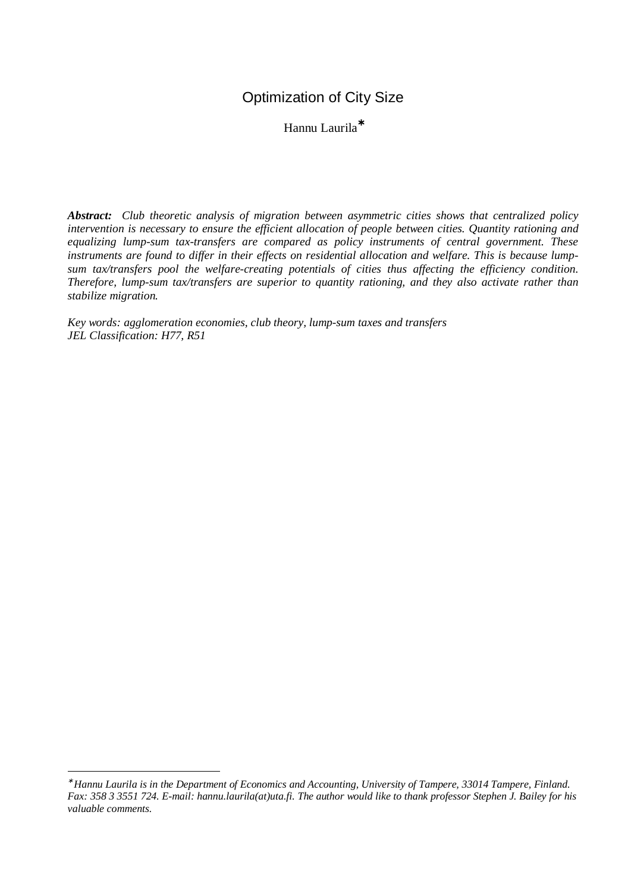## Optimization of City Size

Hannu Laurila<sup>∗</sup>

*Abstract: Club theoretic analysis of migration between asymmetric cities shows that centralized policy intervention is necessary to ensure the efficient allocation of people between cities. Quantity rationing and equalizing lump-sum tax-transfers are compared as policy instruments of central government. These instruments are found to differ in their effects on residential allocation and welfare. This is because lumpsum tax/transfers pool the welfare-creating potentials of cities thus affecting the efficiency condition. Therefore, lump-sum tax/transfers are superior to quantity rationing, and they also activate rather than stabilize migration.*

*Key words: agglomeration economies, club theory, lump-sum taxes and transfers JEL Classification: H77, R51*

<sup>∗</sup>  *Hannu Laurila is in the Department of Economics and Accounting, University of Tampere, 33014 Tampere, Finland. Fax: 358 3 3551 724. E-mail: hannu.laurila(at)uta.fi. The author would like to thank professor Stephen J. Bailey for his valuable comments.*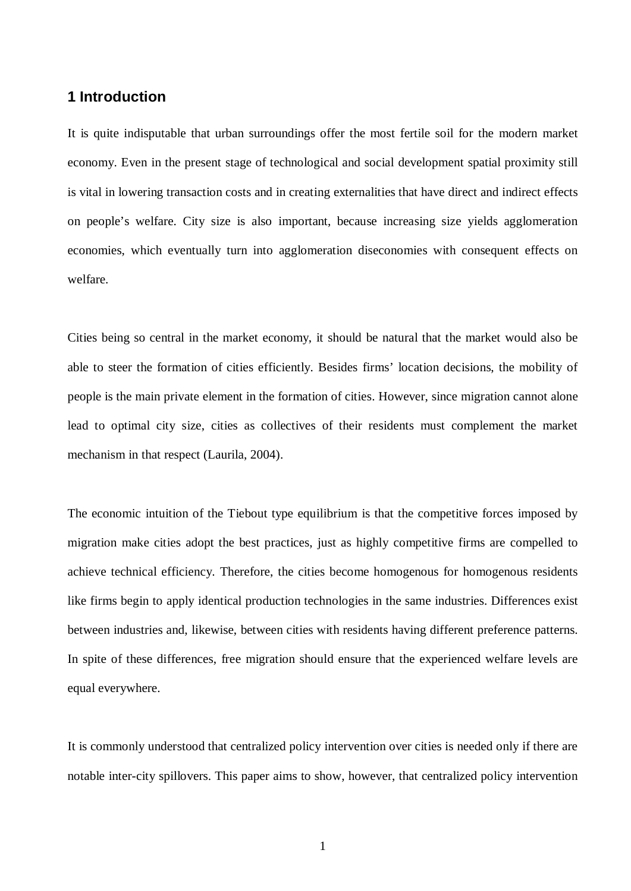## **1 Introduction**

It is quite indisputable that urban surroundings offer the most fertile soil for the modern market economy. Even in the present stage of technological and social development spatial proximity still is vital in lowering transaction costs and in creating externalities that have direct and indirect effects on people's welfare. City size is also important, because increasing size yields agglomeration economies, which eventually turn into agglomeration diseconomies with consequent effects on welfare.

Cities being so central in the market economy, it should be natural that the market would also be able to steer the formation of cities efficiently. Besides firms' location decisions, the mobility of people is the main private element in the formation of cities. However, since migration cannot alone lead to optimal city size, cities as collectives of their residents must complement the market mechanism in that respect (Laurila, 2004).

The economic intuition of the Tiebout type equilibrium is that the competitive forces imposed by migration make cities adopt the best practices, just as highly competitive firms are compelled to achieve technical efficiency. Therefore, the cities become homogenous for homogenous residents like firms begin to apply identical production technologies in the same industries. Differences exist between industries and, likewise, between cities with residents having different preference patterns. In spite of these differences, free migration should ensure that the experienced welfare levels are equal everywhere.

It is commonly understood that centralized policy intervention over cities is needed only if there are notable inter-city spillovers. This paper aims to show, however, that centralized policy intervention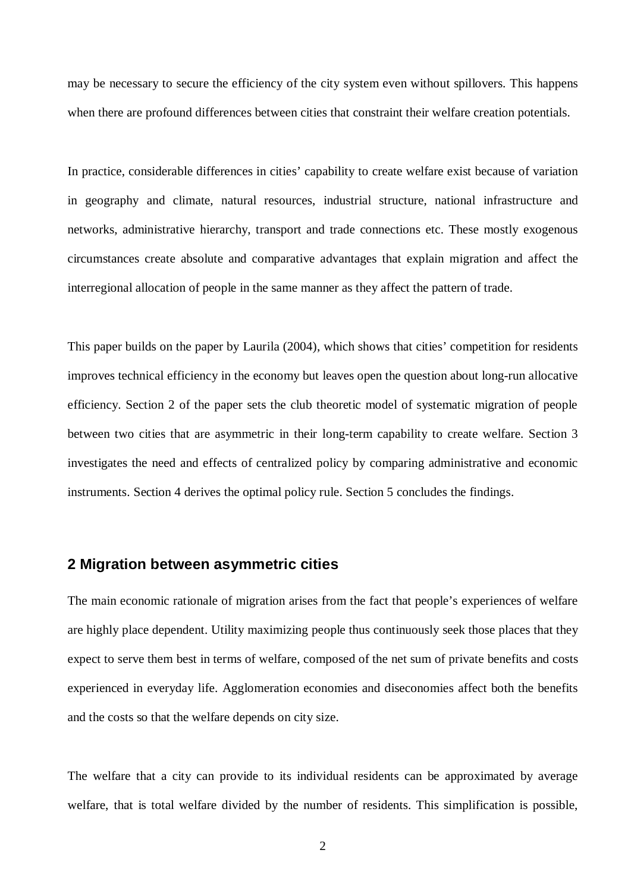may be necessary to secure the efficiency of the city system even without spillovers. This happens when there are profound differences between cities that constraint their welfare creation potentials.

In practice, considerable differences in cities' capability to create welfare exist because of variation in geography and climate, natural resources, industrial structure, national infrastructure and networks, administrative hierarchy, transport and trade connections etc. These mostly exogenous circumstances create absolute and comparative advantages that explain migration and affect the interregional allocation of people in the same manner as they affect the pattern of trade.

This paper builds on the paper by Laurila (2004), which shows that cities' competition for residents improves technical efficiency in the economy but leaves open the question about long-run allocative efficiency. Section 2 of the paper sets the club theoretic model of systematic migration of people between two cities that are asymmetric in their long-term capability to create welfare. Section 3 investigates the need and effects of centralized policy by comparing administrative and economic instruments. Section 4 derives the optimal policy rule. Section 5 concludes the findings.

## **2 Migration between asymmetric cities**

The main economic rationale of migration arises from the fact that people's experiences of welfare are highly place dependent. Utility maximizing people thus continuously seek those places that they expect to serve them best in terms of welfare, composed of the net sum of private benefits and costs experienced in everyday life. Agglomeration economies and diseconomies affect both the benefits and the costs so that the welfare depends on city size.

The welfare that a city can provide to its individual residents can be approximated by average welfare, that is total welfare divided by the number of residents. This simplification is possible,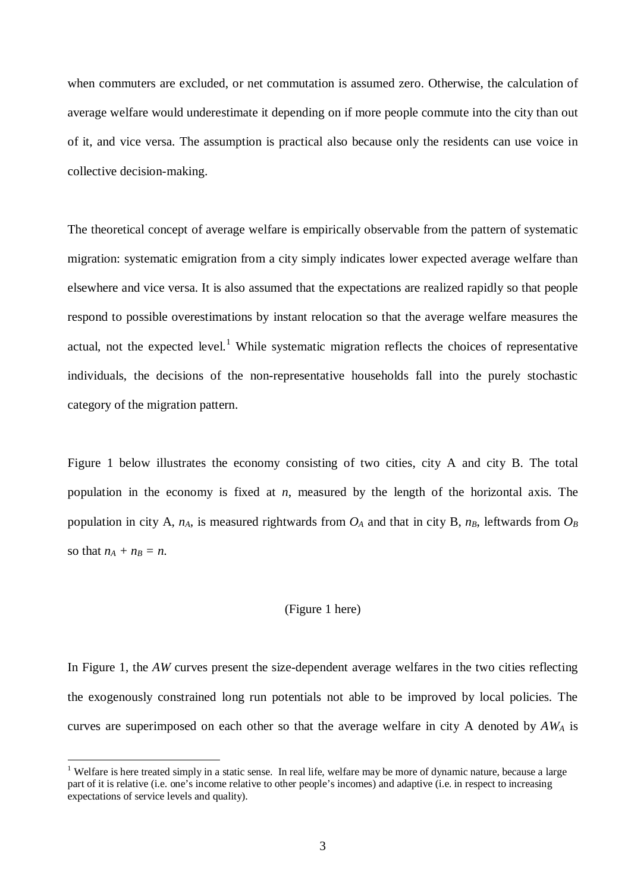when commuters are excluded, or net commutation is assumed zero. Otherwise, the calculation of average welfare would underestimate it depending on if more people commute into the city than out of it, and vice versa. The assumption is practical also because only the residents can use voice in collective decision-making.

The theoretical concept of average welfare is empirically observable from the pattern of systematic migration: systematic emigration from a city simply indicates lower expected average welfare than elsewhere and vice versa. It is also assumed that the expectations are realized rapidly so that people respond to possible overestimations by instant relocation so that the average welfare measures the actual, not the expected level.<sup>1</sup> While systematic migration reflects the choices of representative individuals, the decisions of the non-representative households fall into the purely stochastic category of the migration pattern.

Figure 1 below illustrates the economy consisting of two cities, city A and city B. The total population in the economy is fixed at *n*, measured by the length of the horizontal axis. The population in city A,  $n_A$ , is measured rightwards from  $O_A$  and that in city B,  $n_B$ , leftwards from  $O_B$ so that  $n_A + n_B = n$ .

#### (Figure 1 here)

In Figure 1, the *AW* curves present the size-dependent average welfares in the two cities reflecting the exogenously constrained long run potentials not able to be improved by local policies. The curves are superimposed on each other so that the average welfare in city A denoted by *AWA* is

<sup>&</sup>lt;sup>1</sup> Welfare is here treated simply in a static sense. In real life, welfare may be more of dynamic nature, because a large part of it is relative (i.e. one's income relative to other people's incomes) and adaptive (i.e. in respect to increasing expectations of service levels and quality).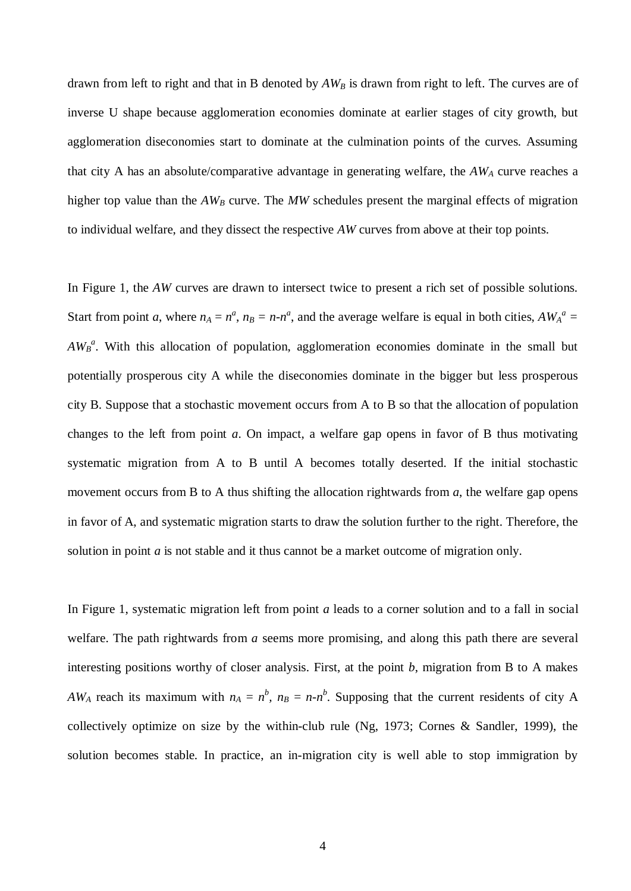drawn from left to right and that in B denoted by *AWB* is drawn from right to left. The curves are of inverse U shape because agglomeration economies dominate at earlier stages of city growth, but agglomeration diseconomies start to dominate at the culmination points of the curves. Assuming that city A has an absolute/comparative advantage in generating welfare, the  $AW_A$  curve reaches a higher top value than the  $AW_B$  curve. The MW schedules present the marginal effects of migration to individual welfare, and they dissect the respective *AW* curves from above at their top points.

In Figure 1, the *AW* curves are drawn to intersect twice to present a rich set of possible solutions. Start from point *a*, where  $n_A = n^a$ ,  $n_B = n - n^a$ , and the average welfare is equal in both cities,  $AW_A^a =$ *AW<sub>B</sub><sup>a</sup>*. With this allocation of population, agglomeration economies dominate in the small but potentially prosperous city A while the diseconomies dominate in the bigger but less prosperous city B. Suppose that a stochastic movement occurs from A to B so that the allocation of population changes to the left from point *a*. On impact, a welfare gap opens in favor of B thus motivating systematic migration from A to B until A becomes totally deserted. If the initial stochastic movement occurs from B to A thus shifting the allocation rightwards from *a*, the welfare gap opens in favor of A, and systematic migration starts to draw the solution further to the right. Therefore, the solution in point *a* is not stable and it thus cannot be a market outcome of migration only.

In Figure 1, systematic migration left from point *a* leads to a corner solution and to a fall in social welfare. The path rightwards from *a* seems more promising, and along this path there are several interesting positions worthy of closer analysis. First, at the point *b*, migration from B to A makes *AW*<sub>*A*</sub> reach its maximum with  $n_A = n^b$ ,  $n_B = n - n^b$ . Supposing that the current residents of city A collectively optimize on size by the within-club rule (Ng, 1973; Cornes & Sandler, 1999), the solution becomes stable. In practice, an in-migration city is well able to stop immigration by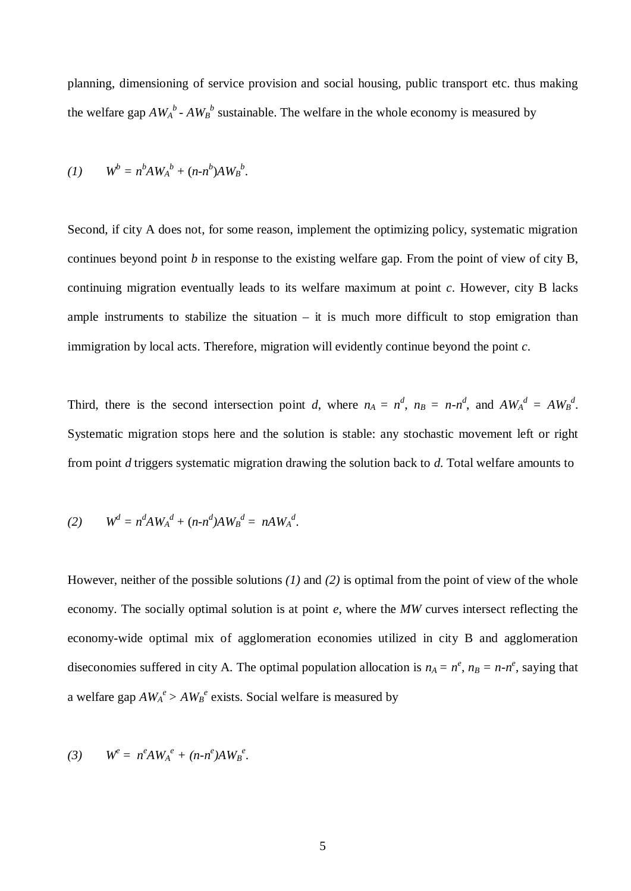planning, dimensioning of service provision and social housing, public transport etc. thus making the welfare gap  $AW_A^b$  -  $AW_B^b$  sustainable. The welfare in the whole economy is measured by

$$
(1) \qquad W^b = n^b A W_A^b + (n \cdot n^b) A W_B^b.
$$

Second, if city A does not, for some reason, implement the optimizing policy, systematic migration continues beyond point *b* in response to the existing welfare gap. From the point of view of city B, continuing migration eventually leads to its welfare maximum at point *c*. However, city B lacks ample instruments to stabilize the situation  $-$  it is much more difficult to stop emigration than immigration by local acts. Therefore, migration will evidently continue beyond the point *c*.

Third, there is the second intersection point *d*, where  $n_A = n^d$ ,  $n_B = n - n^d$ , and  $AW_A^d = AW_B^d$ . Systematic migration stops here and the solution is stable: any stochastic movement left or right from point *d* triggers systematic migration drawing the solution back to *d*. Total welfare amounts to

(2) 
$$
W^d = n^d A W_A^d + (n \cdot n^d) A W_B^d = n A W_A^d
$$
.

However, neither of the possible solutions *(1)* and *(2)* is optimal from the point of view of the whole economy. The socially optimal solution is at point *e*, where the *MW* curves intersect reflecting the economy-wide optimal mix of agglomeration economies utilized in city B and agglomeration diseconomies suffered in city A. The optimal population allocation is  $n_A = n^e$ ,  $n_B = n - n^e$ , saying that a welfare gap  $AW_A^e > AW_B^e$  exists. Social welfare is measured by

$$
(3) \qquad W^e = n^e A W_A^e + (n \cdot n^e) A W_B^e.
$$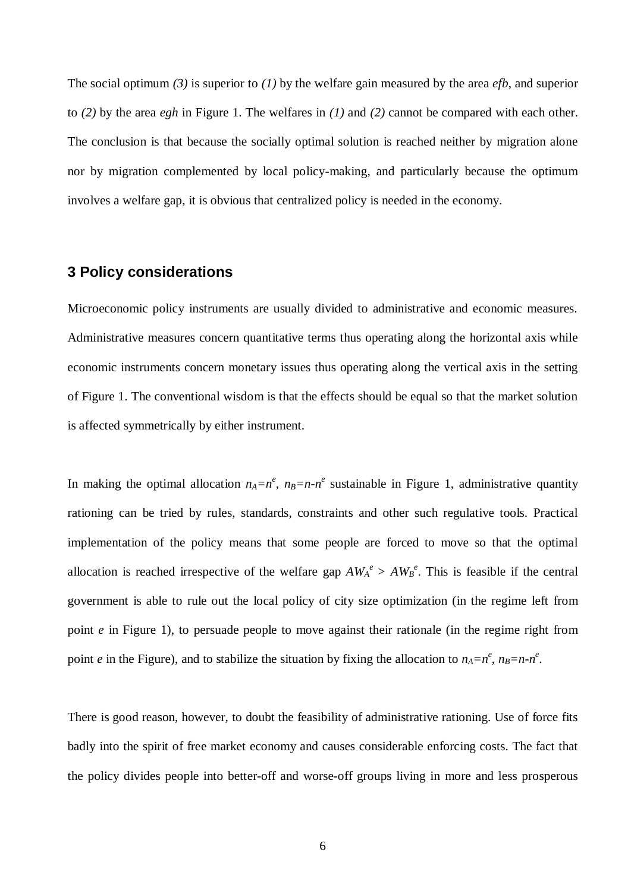The social optimum *(3)* is superior to *(1)* by the welfare gain measured by the area *efb*, and superior to *(2)* by the area *egh* in Figure 1. The welfares in *(1)* and *(2)* cannot be compared with each other. The conclusion is that because the socially optimal solution is reached neither by migration alone nor by migration complemented by local policy-making, and particularly because the optimum involves a welfare gap, it is obvious that centralized policy is needed in the economy.

## **3 Policy considerations**

Microeconomic policy instruments are usually divided to administrative and economic measures. Administrative measures concern quantitative terms thus operating along the horizontal axis while economic instruments concern monetary issues thus operating along the vertical axis in the setting of Figure 1. The conventional wisdom is that the effects should be equal so that the market solution is affected symmetrically by either instrument.

In making the optimal allocation  $n_A = n^e$ ,  $n_B = n - n^e$  sustainable in Figure 1, administrative quantity rationing can be tried by rules, standards, constraints and other such regulative tools. Practical implementation of the policy means that some people are forced to move so that the optimal allocation is reached irrespective of the welfare gap  $AW_A^e > AW_B^e$ . This is feasible if the central government is able to rule out the local policy of city size optimization (in the regime left from point *e* in Figure 1), to persuade people to move against their rationale (in the regime right from point *e* in the Figure), and to stabilize the situation by fixing the allocation to  $n_A = n^e$ ,  $n_B = n - n^e$ .

There is good reason, however, to doubt the feasibility of administrative rationing. Use of force fits badly into the spirit of free market economy and causes considerable enforcing costs. The fact that the policy divides people into better-off and worse-off groups living in more and less prosperous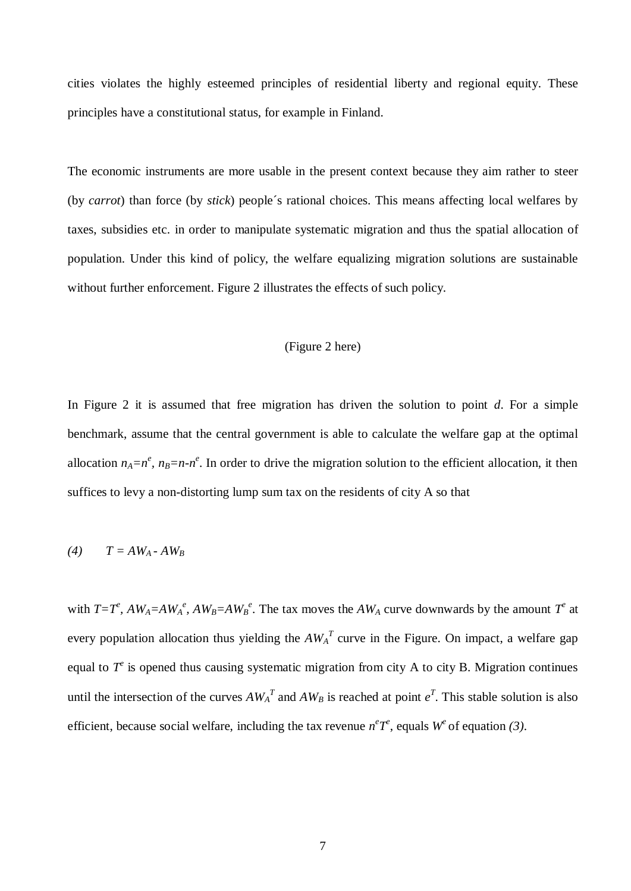cities violates the highly esteemed principles of residential liberty and regional equity. These principles have a constitutional status, for example in Finland.

The economic instruments are more usable in the present context because they aim rather to steer (by *carrot*) than force (by *stick*) people´s rational choices. This means affecting local welfares by taxes, subsidies etc. in order to manipulate systematic migration and thus the spatial allocation of population. Under this kind of policy, the welfare equalizing migration solutions are sustainable without further enforcement. Figure 2 illustrates the effects of such policy.

#### (Figure 2 here)

In Figure 2 it is assumed that free migration has driven the solution to point *d*. For a simple benchmark, assume that the central government is able to calculate the welfare gap at the optimal allocation  $n_A = n^e$ ,  $n_B = n - n^e$ . In order to drive the migration solution to the efficient allocation, it then suffices to levy a non-distorting lump sum tax on the residents of city A so that

$$
(4) \qquad T = AW_A - AW_B
$$

with  $T=T^e$ ,  $AW_A = AW_A^e$ ,  $AW_B = AW_B^e$ . The tax moves the  $AW_A$  curve downwards by the amount  $T^e$  at every population allocation thus yielding the  $AW_A^T$  curve in the Figure. On impact, a welfare gap equal to  $T^e$  is opened thus causing systematic migration from city A to city B. Migration continues until the intersection of the curves  $AW_A^T$  and  $AW_B$  is reached at point  $e^T$ . This stable solution is also efficient, because social welfare, including the tax revenue  $n^e T^e$ , equals  $W^e$  of equation (3).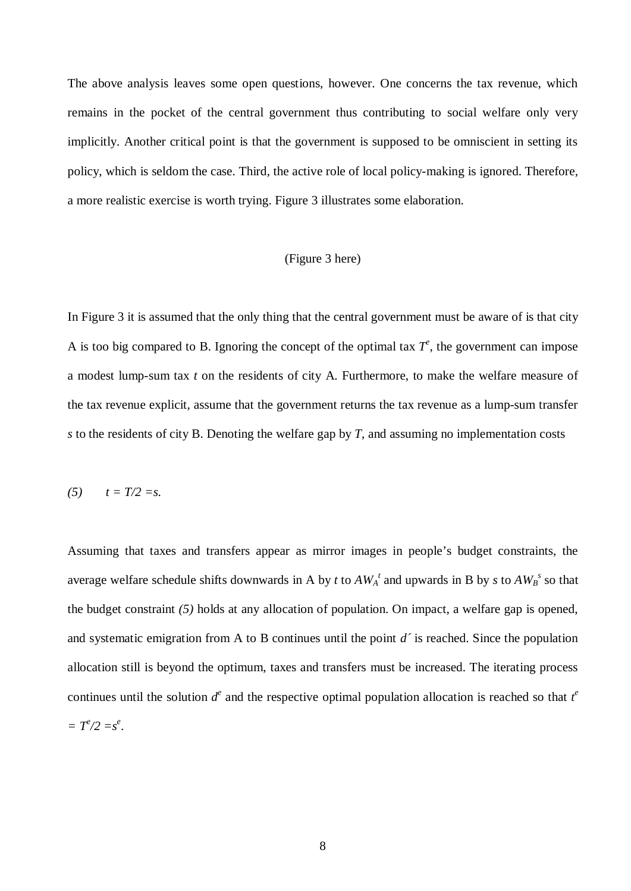The above analysis leaves some open questions, however. One concerns the tax revenue, which remains in the pocket of the central government thus contributing to social welfare only very implicitly. Another critical point is that the government is supposed to be omniscient in setting its policy, which is seldom the case. Third, the active role of local policy-making is ignored. Therefore, a more realistic exercise is worth trying. Figure 3 illustrates some elaboration.

#### (Figure 3 here)

In Figure 3 it is assumed that the only thing that the central government must be aware of is that city A is too big compared to B. Ignoring the concept of the optimal tax  $T^e$ , the government can impose a modest lump-sum tax *t* on the residents of city A. Furthermore, to make the welfare measure of the tax revenue explicit, assume that the government returns the tax revenue as a lump-sum transfer *s* to the residents of city B. Denoting the welfare gap by *T*, and assuming no implementation costs

$$
(5) \qquad t = T/2 = s.
$$

Assuming that taxes and transfers appear as mirror images in people's budget constraints, the average welfare schedule shifts downwards in A by *t* to  $AW_A^t$  and upwards in B by *s* to  $AW_B^s$  so that the budget constraint *(5)* holds at any allocation of population. On impact, a welfare gap is opened, and systematic emigration from A to B continues until the point *d´* is reached. Since the population allocation still is beyond the optimum, taxes and transfers must be increased. The iterating process continues until the solution  $d^e$  and the respective optimal population allocation is reached so that  $t^e$  $= T^e/2 = s^e$ .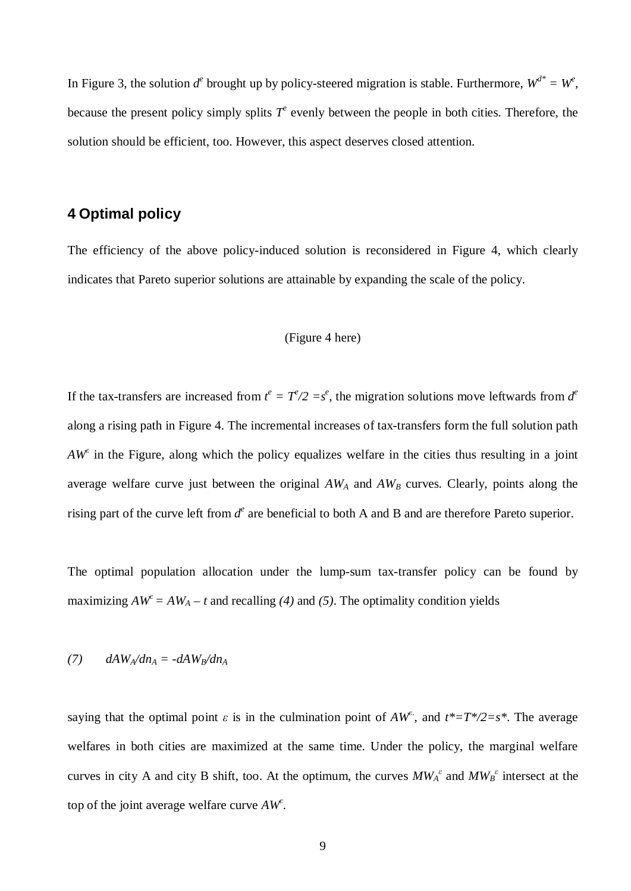In Figure 3, the solution  $d^e$  brought up by policy-steered migration is stable. Furthermore,  $W^{d^*} = W^e$ , because the present policy simply splits  $T^e$  evenly between the people in both cities. Therefore, the solution should be efficient, too. However, this aspect deserves closed attention.

## **4 Optimal policy**

The efficiency of the above policy-induced solution is reconsidered in Figure 4, which clearly indicates that Pareto superior solutions are attainable by expanding the scale of the policy.

#### (Figure 4 here)

If the tax-transfers are increased from  $t^e = T^e/2 = s^e$ , the migration solutions move leftwards from  $d^e$ along a rising path in Figure 4. The incremental increases of tax-transfers form the full solution path  $AW^{\epsilon}$  in the Figure, along which the policy equalizes welfare in the cities thus resulting in a joint average welfare curve just between the original *AWA* and *AWB* curves. Clearly, points along the rising part of the curve left from  $d^e$  are beneficial to both A and B and are therefore Pareto superior.

The optimal population allocation under the lump-sum tax-transfer policy can be found by maximizing  $AW^{\epsilon} = AW_A - t$  and recalling (4) and (5). The optimality condition yields

$$
(7) \qquad dAW_A/dn_A = -dAW_B/dn_A
$$

saying that the optimal point  $\varepsilon$  is in the culmination point of  $AW^{\varepsilon}$ , and  $t^*=T^*/2=s^*$ . The average welfares in both cities are maximized at the same time. Under the policy, the marginal welfare curves in city A and city B shift, too. At the optimum, the curves  $MW_A^{\epsilon}$  and  $MW_B^{\epsilon}$  intersect at the top of the joint average welfare curve *AW<sup>İ</sup>* .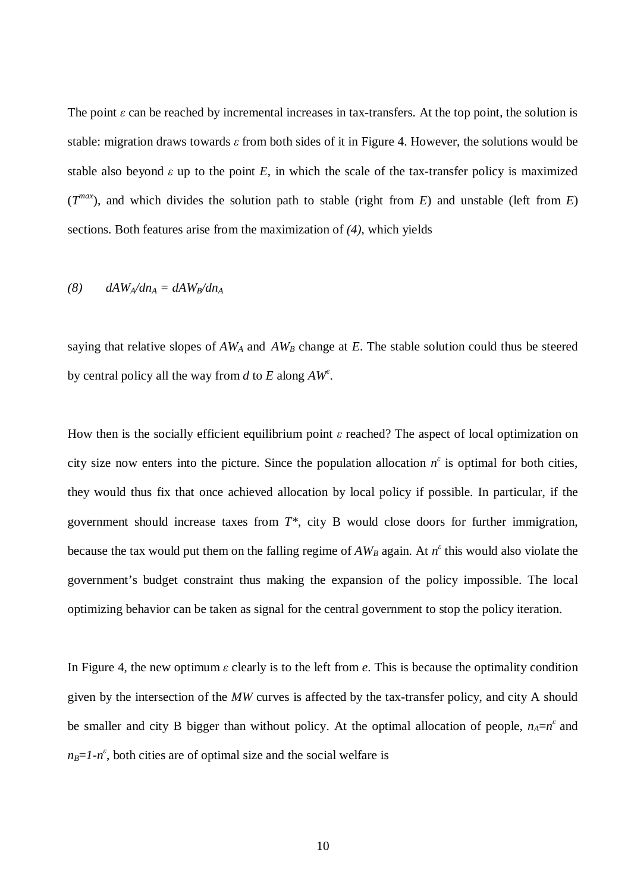The point  $\varepsilon$  can be reached by incremental increases in tax-transfers. At the top point, the solution is stable: migration draws towards  $\epsilon$  from both sides of it in Figure 4. However, the solutions would be stable also beyond  $\varepsilon$  up to the point  $E$ , in which the scale of the tax-transfer policy is maximized  $(T^{max})$ , and which divides the solution path to stable (right from *E*) and unstable (left from *E*) sections. Both features arise from the maximization of *(4)*, which yields

$$
(8) \qquad dAW_A/dn_A = dAW_B/dn_A
$$

saying that relative slopes of  $AW_A$  and  $AW_B$  change at  $E$ . The stable solution could thus be steered by central policy all the way from  $d$  to  $E$  along  $AW^{\epsilon}$ .

How then is the socially efficient equilibrium point  $\varepsilon$  reached? The aspect of local optimization on city size now enters into the picture. Since the population allocation  $n^{\epsilon}$  is optimal for both cities, they would thus fix that once achieved allocation by local policy if possible. In particular, if the government should increase taxes from *T\**, city B would close doors for further immigration, because the tax would put them on the falling regime of  $AW_B$  again. At  $n^{\epsilon}$  this would also violate the government's budget constraint thus making the expansion of the policy impossible. The local optimizing behavior can be taken as signal for the central government to stop the policy iteration.

In Figure 4, the new optimum  $\epsilon$  clearly is to the left from  $\epsilon$ . This is because the optimality condition given by the intersection of the *MW* curves is affected by the tax-transfer policy, and city A should be smaller and city B bigger than without policy. At the optimal allocation of people,  $n_A = n^{\epsilon}$  and  $n_B = 1 - n^{\epsilon}$ , both cities are of optimal size and the social welfare is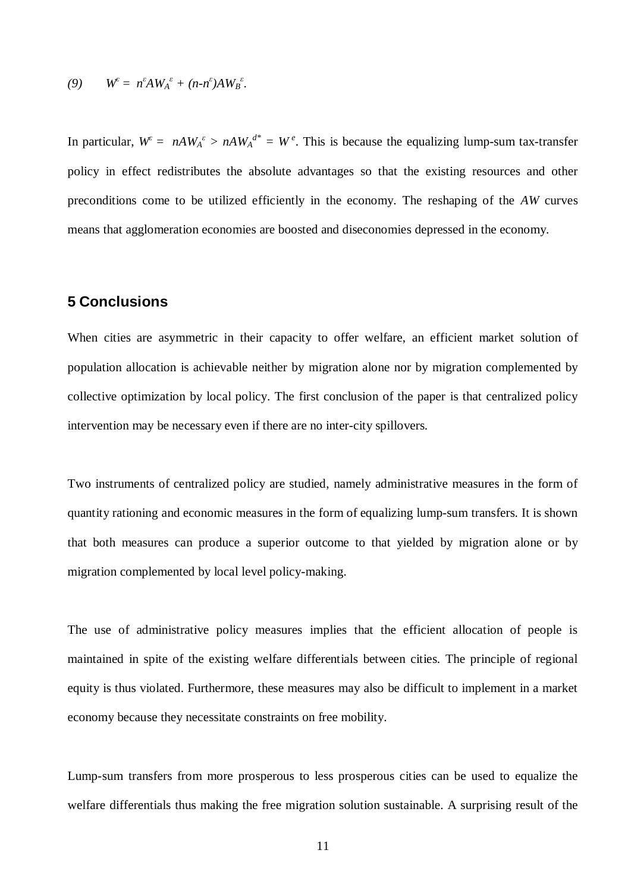$$
(9) \qquad W^{\varepsilon} = n^{\varepsilon} A W_A^{\varepsilon} + (n - n^{\varepsilon}) A W_B^{\varepsilon}.
$$

In particular,  $W^{\epsilon} = nA W_A^{\epsilon} > nA W_A^{\epsilon^*} = W^{\epsilon}$ . This is because the equalizing lump-sum tax-transfer policy in effect redistributes the absolute advantages so that the existing resources and other preconditions come to be utilized efficiently in the economy. The reshaping of the *AW* curves means that agglomeration economies are boosted and diseconomies depressed in the economy.

## **5 Conclusions**

When cities are asymmetric in their capacity to offer welfare, an efficient market solution of population allocation is achievable neither by migration alone nor by migration complemented by collective optimization by local policy. The first conclusion of the paper is that centralized policy intervention may be necessary even if there are no inter-city spillovers.

Two instruments of centralized policy are studied, namely administrative measures in the form of quantity rationing and economic measures in the form of equalizing lump-sum transfers. It is shown that both measures can produce a superior outcome to that yielded by migration alone or by migration complemented by local level policy-making.

The use of administrative policy measures implies that the efficient allocation of people is maintained in spite of the existing welfare differentials between cities. The principle of regional equity is thus violated. Furthermore, these measures may also be difficult to implement in a market economy because they necessitate constraints on free mobility.

Lump-sum transfers from more prosperous to less prosperous cities can be used to equalize the welfare differentials thus making the free migration solution sustainable. A surprising result of the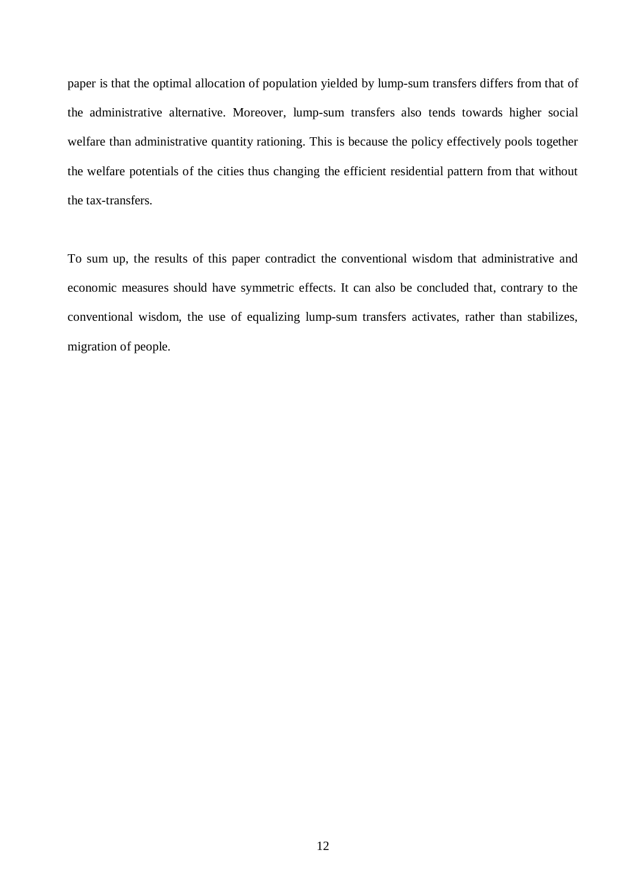paper is that the optimal allocation of population yielded by lump-sum transfers differs from that of the administrative alternative. Moreover, lump-sum transfers also tends towards higher social welfare than administrative quantity rationing. This is because the policy effectively pools together the welfare potentials of the cities thus changing the efficient residential pattern from that without the tax-transfers.

To sum up, the results of this paper contradict the conventional wisdom that administrative and economic measures should have symmetric effects. It can also be concluded that, contrary to the conventional wisdom, the use of equalizing lump-sum transfers activates, rather than stabilizes, migration of people.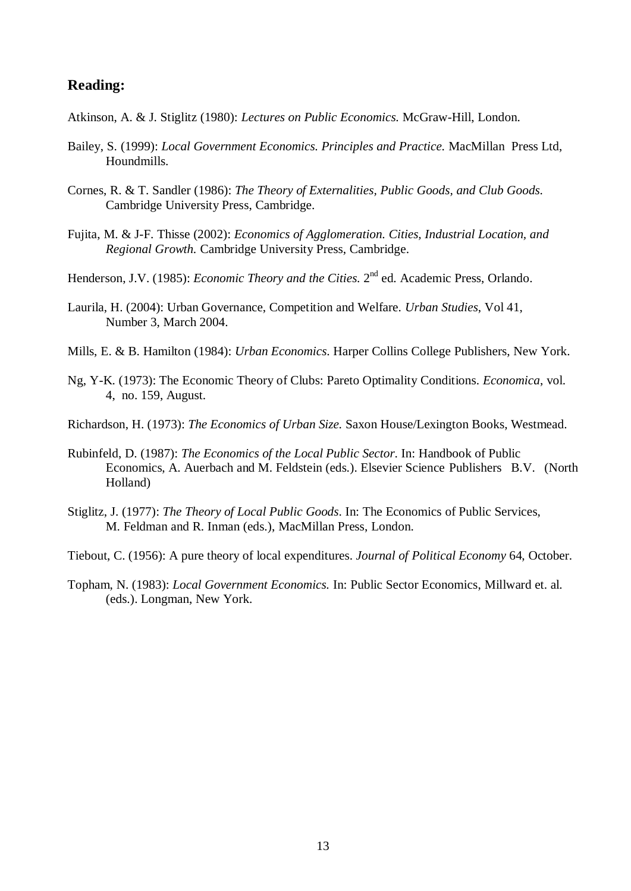## **Reading:**

- Atkinson, A. & J. Stiglitz (1980): *Lectures on Public Economics.* McGraw-Hill, London.
- Bailey, S. (1999): *Local Government Economics. Principles and Practice.* MacMillan Press Ltd, Houndmills.
- Cornes, R. & T. Sandler (1986): *The Theory of Externalities, Public Goods, and Club Goods.* Cambridge University Press, Cambridge.
- Fujita, M. & J-F. Thisse (2002): *Economics of Agglomeration. Cities, Industrial Location, and Regional Growth.* Cambridge University Press, Cambridge.
- Henderson, J.V. (1985): *Economic Theory and the Cities*. 2<sup>nd</sup> ed. Academic Press, Orlando.
- Laurila, H. (2004): Urban Governance, Competition and Welfare. *Urban Studies*, Vol 41, Number 3, March 2004.
- Mills, E. & B. Hamilton (1984): *Urban Economics*. Harper Collins College Publishers, New York.
- Ng, Y-K. (1973): The Economic Theory of Clubs: Pareto Optimality Conditions. *Economica*, vol. 4, no. 159, August.
- Richardson, H. (1973): *The Economics of Urban Size.* Saxon House/Lexington Books, Westmead.
- Rubinfeld, D. (1987): *The Economics of the Local Public Sector*. In: Handbook of Public Economics, A. Auerbach and M. Feldstein (eds.). Elsevier Science Publishers B.V. (North Holland)
- Stiglitz, J. (1977): *The Theory of Local Public Goods*. In: The Economics of Public Services, M. Feldman and R. Inman (eds.), MacMillan Press, London.
- Tiebout, C. (1956): A pure theory of local expenditures. *Journal of Political Economy* 64, October.
- Topham, N. (1983): *Local Government Economics.* In: Public Sector Economics, Millward et. al. (eds.). Longman, New York.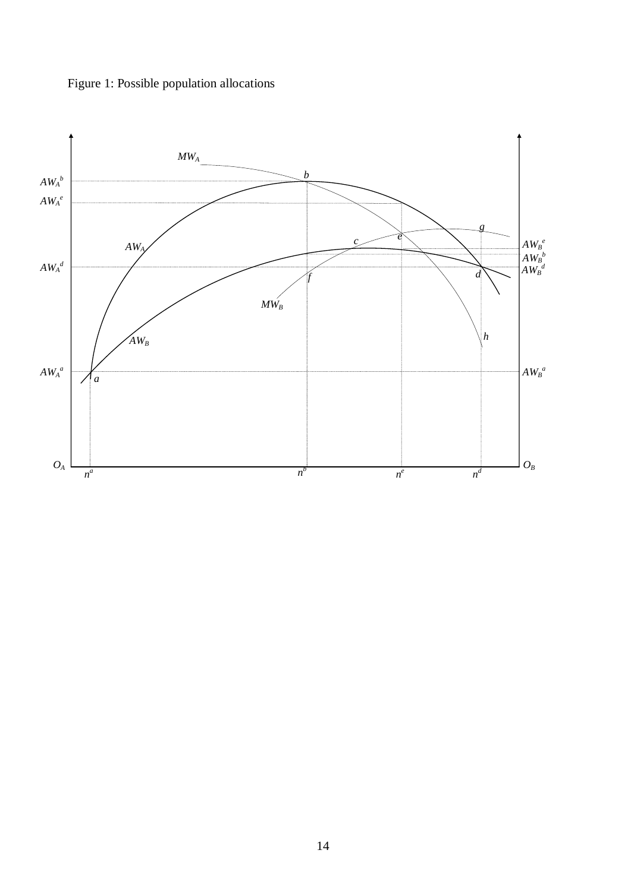

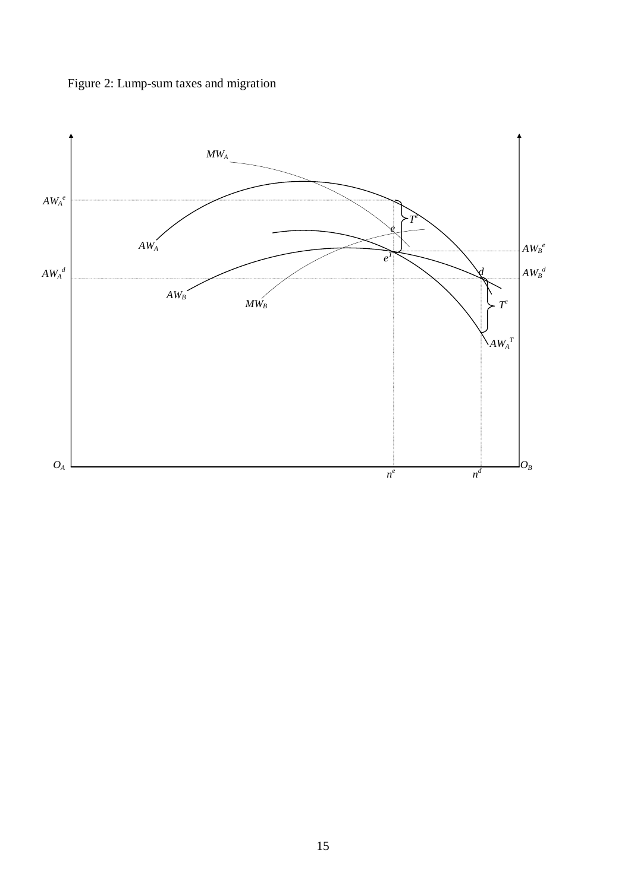

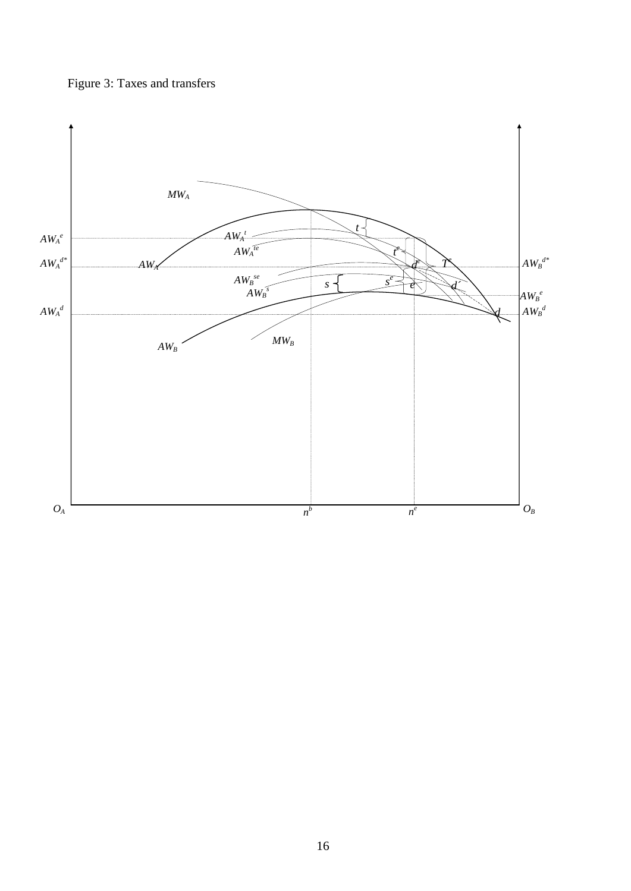